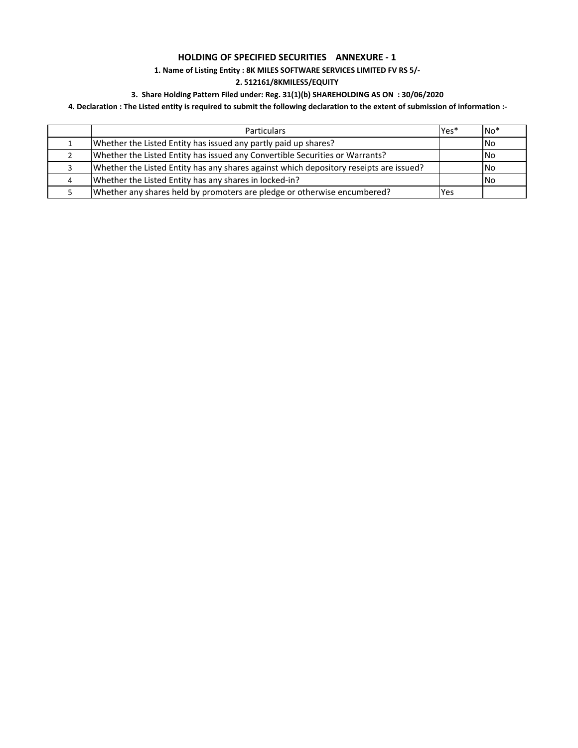# **HOLDING OF SPECIFIED SECURITIES ANNEXURE ‐ 1**

# **1. Name of Listing Entity : 8K MILES SOFTWARE SERVICES LIMITED FV RS 5/‐**

### **2. 512161/8KMILES5/EQUITY**

# **3. Share Holding Pattern Filed under: Reg. 31(1)(b) SHAREHOLDING AS ON : 30/06/2020**

## 4. Declaration : The Listed entity is required to submit the following declaration to the extent of submission of information :-

| <b>Particulars</b>                                                                     | Yes* | $No*$      |
|----------------------------------------------------------------------------------------|------|------------|
| Whether the Listed Entity has issued any partly paid up shares?                        |      | <b>INo</b> |
| Whether the Listed Entity has issued any Convertible Securities or Warrants?           |      | <b>INo</b> |
| Whether the Listed Entity has any shares against which depository reseipts are issued? |      | <b>INo</b> |
| Whether the Listed Entity has any shares in locked-in?                                 |      | <b>INo</b> |
| Whether any shares held by promoters are pledge or otherwise encumbered?               | Yes  |            |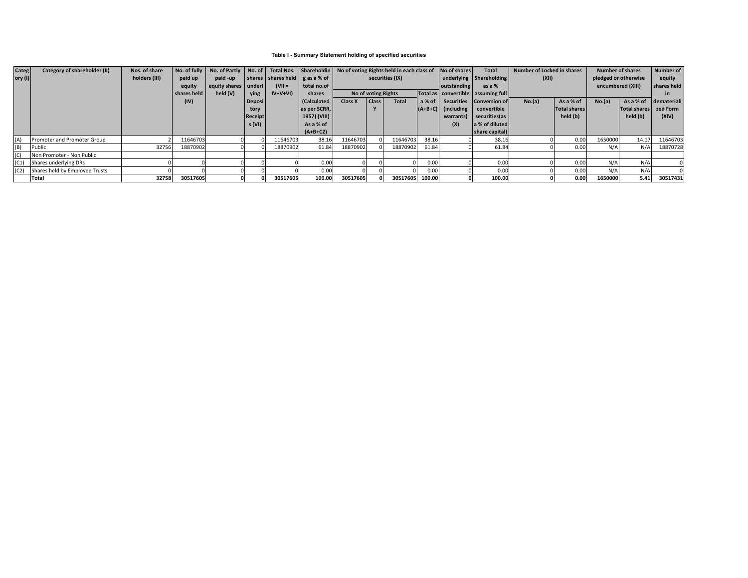### **Table I - Summary Statement holding of specified securities**

| <b>Categ</b> | Category of shareholder (II)   | Nos. of share |             |                        |               |           |                                                | No. of fully   No. of Partly   No. of   Total Nos.   Shareholdin   No of voting Rights held in each class of |                     |              | No of shares | <b>Total</b>            | Number of Locked in shares             |        | <b>Number of shares</b> |                   | Number of    |             |
|--------------|--------------------------------|---------------|-------------|------------------------|---------------|-----------|------------------------------------------------|--------------------------------------------------------------------------------------------------------------|---------------------|--------------|--------------|-------------------------|----------------------------------------|--------|-------------------------|-------------------|--------------|-------------|
| ory $(I)$    |                                | holders (III) | paid up     | paid -up               |               |           | shares shares held $\vert$ g as a % of $\vert$ |                                                                                                              | securities (IX)     |              |              | underlying Shareholding | (XII)                                  |        | pledged or otherwise    |                   | equity       |             |
|              |                                |               | equity      | equity shares   underl |               | $(VII =$  | total no.of                                    |                                                                                                              |                     |              |              | outstanding             | as a %                                 |        |                         | encumbered (XIII) |              | shares held |
|              |                                |               | shares held | held (V)               | <b>ving</b>   | $IV+V+VI$ | shares                                         |                                                                                                              | No of voting Rights |              |              |                         | Total as   convertible   assuming full |        |                         |                   |              | <b>in</b>   |
|              |                                |               | (IV)        |                        | <b>Deposi</b> |           | (Calculated                                    | Class X                                                                                                      | <b>Class</b>        | <b>Total</b> |              |                         | a % of Securities Conversion of        | No.(a) | As a % of               | No.(a)            | As a % of    | demateriali |
|              |                                |               |             |                        | tory          |           | as per SCRR,                                   |                                                                                                              |                     |              |              | $(A+B+C)$ (including    | convertible                            |        | <b>Total shares</b>     |                   | Total shares | zed Form    |
|              |                                |               |             |                        | Receipt       |           | 1957) (VIII)                                   |                                                                                                              |                     |              |              | warrants)               | securities (as                         |        | held (b)                |                   | held (b)     | (XIV)       |
|              |                                |               |             |                        | s(VI)         |           | As a % of                                      |                                                                                                              |                     |              |              | (X)                     | a % of diluted                         |        |                         |                   |              |             |
|              |                                |               |             |                        |               |           | $(A+B+C2)$                                     |                                                                                                              |                     |              |              |                         | share capital)                         |        |                         |                   |              |             |
| (A)          | Promoter and Promoter Group    |               | 11646703    |                        |               | 11646703  | 38.16                                          | 11646703                                                                                                     |                     | 11646703     | 38.16        |                         | 38.16                                  |        | 0.00                    | 1650000           | 14.17        | 11646703    |
| (B)          | Public                         | 32756         | 18870902    |                        |               | 18870902  | 61.84                                          | 18870902                                                                                                     |                     | 18870902     | 61.84        |                         | 61.84                                  |        | 0.00                    | N/t               | N/A          | 18870728    |
| (C)          | Non Promoter - Non Public      |               |             |                        |               |           |                                                |                                                                                                              |                     |              |              |                         |                                        |        |                         |                   |              |             |
| (C1)         | Shares underlying DRs          |               |             |                        |               |           | 0.00                                           |                                                                                                              |                     |              | 0.00         |                         | 0.00                                   |        | 0.00                    | N/A               | N/A          |             |
| (C2)         | Shares held by Employee Trusts |               |             |                        |               |           | 0.00                                           |                                                                                                              |                     |              | 0.00         |                         | 0.00                                   |        | 0.00                    | N/A               | N/A          |             |
|              | Total                          | 32758         | 30517605    |                        |               | 30517605  | 100.00                                         | 30517605                                                                                                     |                     | 30517605     | 100.00       |                         | 100.00                                 |        | 0.00                    | 1650000           | 5.41         | 30517431    |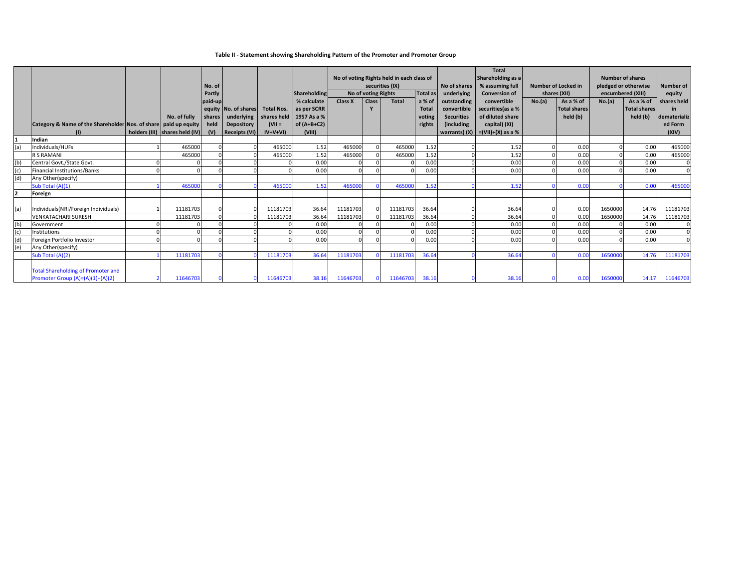### **Table II ‐ Statement showing Shareholding Pattern of the Promoter and Promoter Group**

|                | Category & Name of the Shareholder Nos. of share paid up equity<br>(1)          | No. of fully<br>holders (III) shares held (IV) | No. of<br>Partly<br>paid-up<br>shares<br>held<br>(V) | equity No. of shares<br>underlying<br>Depository<br><b>Receipts (VI)</b> | <b>Total Nos.</b><br>$(VII =$<br>$IV+V+VI$ | <b>Shareholding</b><br>% calculate<br>as per SCRR<br>shares held   1957 As a %<br>$of (A+B+C2)$<br>(VIII) | Class X  | No of voting Rights<br><b>Class</b> | No of voting Rights held in each class of<br>securities (IX)<br>Total | Total as<br>a % of<br>Total<br>voting<br>rights | No of shares<br>underlying<br>outstanding<br>convertible<br><b>Securities</b><br><i><b>(including)</b></i> | <b>Total</b><br>Shareholding as a<br>% assuming full<br><b>Conversion of</b><br>convertible<br>securities (as a %<br>of diluted share<br>capital) (XI)<br>warrants) $(X)$ = $(VII)+(X)$ as a % | No.(a) | Number of Locked in<br>shares (XII)<br>As a % of<br><b>Total shares</b><br>held (b) | No.(a)  | Number of shares<br>pledged or otherwise<br>encumbered (XIII)<br>As a % of<br><b>Total shares</b><br>held (b) | <b>Number of</b><br>equity<br>shares held<br>in.<br>dematerializ<br>ed Form<br>(XIV) |
|----------------|---------------------------------------------------------------------------------|------------------------------------------------|------------------------------------------------------|--------------------------------------------------------------------------|--------------------------------------------|-----------------------------------------------------------------------------------------------------------|----------|-------------------------------------|-----------------------------------------------------------------------|-------------------------------------------------|------------------------------------------------------------------------------------------------------------|------------------------------------------------------------------------------------------------------------------------------------------------------------------------------------------------|--------|-------------------------------------------------------------------------------------|---------|---------------------------------------------------------------------------------------------------------------|--------------------------------------------------------------------------------------|
|                | Indian                                                                          |                                                |                                                      |                                                                          |                                            |                                                                                                           |          |                                     |                                                                       |                                                 |                                                                                                            |                                                                                                                                                                                                |        |                                                                                     |         |                                                                                                               |                                                                                      |
| (a)            | Individuals/HUFs                                                                | 465000                                         |                                                      |                                                                          | 465000                                     | 1.52                                                                                                      | 465000   |                                     | 465000                                                                | 1.52                                            |                                                                                                            | 1.52                                                                                                                                                                                           |        | 0.00                                                                                |         | 0.00                                                                                                          | 465000                                                                               |
|                | <b>R S RAMANI</b>                                                               | 465000                                         |                                                      |                                                                          | 465000                                     | 1.52                                                                                                      | 465000   |                                     | 465000                                                                | 1.52                                            |                                                                                                            | 1.52                                                                                                                                                                                           |        | 0.00                                                                                |         | 0.00                                                                                                          | 465000                                                                               |
| (b)            | Central Govt./State Govt.                                                       |                                                |                                                      |                                                                          |                                            | 0.00                                                                                                      |          |                                     |                                                                       | 0.00                                            |                                                                                                            | 0.00                                                                                                                                                                                           |        | 0.00                                                                                |         | 0.00                                                                                                          | $\Omega$                                                                             |
| (c)            | inancial Institutions/Banks                                                     |                                                |                                                      |                                                                          |                                            | 0.00                                                                                                      |          |                                     |                                                                       | 0.00                                            |                                                                                                            | 0.00                                                                                                                                                                                           |        | 0.00                                                                                |         | 0.00                                                                                                          | $\Omega$                                                                             |
| (d)            | Any Other(specify)                                                              |                                                |                                                      |                                                                          |                                            |                                                                                                           |          |                                     |                                                                       |                                                 |                                                                                                            |                                                                                                                                                                                                |        |                                                                                     |         |                                                                                                               |                                                                                      |
|                | Sub Total (A)(1)                                                                | 465000                                         |                                                      |                                                                          | 465000                                     | 1.52                                                                                                      | 465000   |                                     | 465000                                                                | 1.52                                            |                                                                                                            | 1.52                                                                                                                                                                                           |        | 0.00                                                                                |         | 0.00                                                                                                          | 465000                                                                               |
| $\overline{2}$ | Foreign                                                                         |                                                |                                                      |                                                                          |                                            |                                                                                                           |          |                                     |                                                                       |                                                 |                                                                                                            |                                                                                                                                                                                                |        |                                                                                     |         |                                                                                                               |                                                                                      |
| (a             | Individuals(NRI/Foreign Individuals)                                            | 11181703                                       |                                                      |                                                                          | 11181703                                   | 36.64                                                                                                     | 11181703 |                                     | 11181703                                                              | 36.64                                           |                                                                                                            | 36.64                                                                                                                                                                                          |        | 0.00                                                                                | 1650000 | 14.76                                                                                                         | 11181703                                                                             |
|                | <b>VENKATACHARI SURESH</b>                                                      | 11181703                                       |                                                      |                                                                          | 11181703                                   | 36.64                                                                                                     | 11181703 |                                     | 11181703                                                              | 36.64                                           |                                                                                                            | 36.64                                                                                                                                                                                          |        | 0.00                                                                                | 1650000 | 14.76                                                                                                         | 11181703                                                                             |
| (b)            | Government                                                                      |                                                |                                                      |                                                                          |                                            | 0.00                                                                                                      |          |                                     |                                                                       | 0.00                                            |                                                                                                            | 0.00                                                                                                                                                                                           |        | 0.00                                                                                |         | 0.00                                                                                                          |                                                                                      |
| (c)            | Institutions                                                                    |                                                |                                                      |                                                                          |                                            | 0.00                                                                                                      |          |                                     |                                                                       | 0.00                                            |                                                                                                            | 0.00                                                                                                                                                                                           |        | 0.00                                                                                |         | 0.00                                                                                                          | $\Omega$                                                                             |
| (d)            | Foreign Portfolio Investor                                                      |                                                |                                                      |                                                                          |                                            | 0.00                                                                                                      |          |                                     |                                                                       | 0.00                                            |                                                                                                            | 0.00                                                                                                                                                                                           |        | 0.00                                                                                |         | 0.00                                                                                                          | $\Omega$                                                                             |
| (e)            | Any Other(specify)                                                              |                                                |                                                      |                                                                          |                                            |                                                                                                           |          |                                     |                                                                       |                                                 |                                                                                                            |                                                                                                                                                                                                |        |                                                                                     |         |                                                                                                               |                                                                                      |
|                | Sub Total (A)(2)                                                                | 11181703                                       |                                                      |                                                                          | 11181703                                   | 36.64                                                                                                     | 11181703 |                                     | 11181703                                                              | 36.64                                           |                                                                                                            | 36.64                                                                                                                                                                                          |        | 0.00                                                                                | 1650000 | 14.76                                                                                                         | 11181703                                                                             |
|                | <b>Total Shareholding of Promoter and</b><br>Promoter Group $(A)=(A)(1)+(A)(2)$ | 11646703                                       |                                                      |                                                                          | 11646703                                   | 38.16                                                                                                     | 11646703 |                                     | 11646703                                                              | 38.16                                           |                                                                                                            | 38.16                                                                                                                                                                                          |        | 0.00                                                                                | 1650000 |                                                                                                               | 14.17 11646703                                                                       |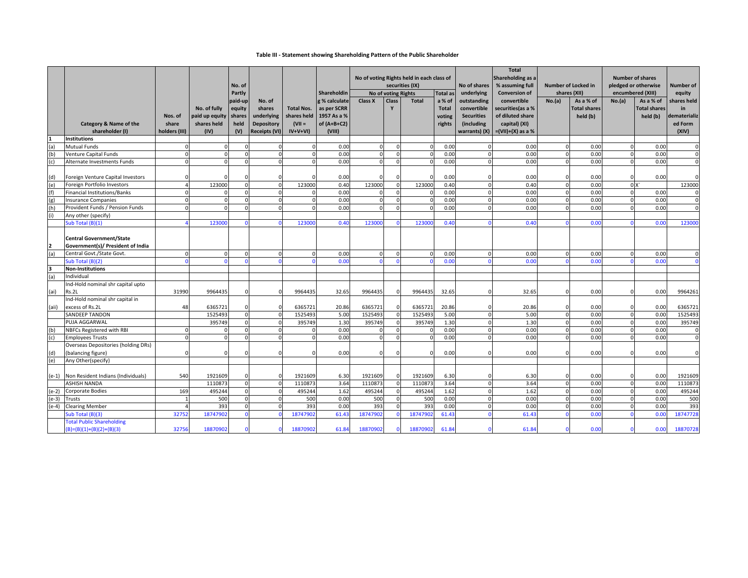#### **Table III ‐ Statement showing Shareholding Pattern of the Public Shareholder**

|       |                                     |                  |                               | No. of         |                                 |                         | Shareholdin                | No of voting Rights held in each class of<br>securities (IX)<br><b>Total as</b><br>No of voting Rights |                |              |                        | No of shares                    | <b>Total</b><br>Shareholding as a<br>% assuming full<br><b>Conversion of</b> | <b>Number of Locked in</b><br>shares (XII) |                                  | <b>Number of shares</b><br>pledged or otherwise<br>encumbered (XIII) |                                  | <b>Number of</b>  |
|-------|-------------------------------------|------------------|-------------------------------|----------------|---------------------------------|-------------------------|----------------------------|--------------------------------------------------------------------------------------------------------|----------------|--------------|------------------------|---------------------------------|------------------------------------------------------------------------------|--------------------------------------------|----------------------------------|----------------------------------------------------------------------|----------------------------------|-------------------|
|       |                                     |                  |                               | Partly         |                                 |                         |                            |                                                                                                        |                |              |                        | underlying                      |                                                                              |                                            |                                  |                                                                      |                                  | equity            |
|       |                                     |                  |                               | paid-up        | No. of                          |                         | g % calculate              | Class X                                                                                                | Class          | <b>Total</b> | a % of<br><b>Total</b> | outstanding                     | convertible<br>securities(as a %                                             | No.(a)                                     | As a % of<br><b>Total shares</b> | No.(a)                                                               | As a % of<br><b>Total shares</b> | shares held       |
|       |                                     |                  | No. of fully                  | equity         | shares                          | <b>Total Nos.</b>       | as per SCRR<br>1957 As a % |                                                                                                        |                |              |                        | convertible                     | of diluted share                                                             |                                            | held (b)                         |                                                                      |                                  | in<br>ematerializ |
|       | Category & Name of the              | Nos. of<br>share | paid up equity<br>shares held | shares<br>held | underlying<br><b>Depository</b> | shares held<br>$(VII =$ | of $(A+B+C2)$              |                                                                                                        |                |              | voting                 | <b>Securities</b><br>(including | capital) (XI)                                                                |                                            |                                  |                                                                      | held (b)                         | ed Form           |
|       | shareholder (I)                     | holders (III)    | (IV)                          | (V)            | Receipts (VI)                   | $IV+V+VI)$              | (VIII)                     |                                                                                                        |                |              | rights                 | warrants) (X)                   | $=(VII)+(X)$ as a %                                                          |                                            |                                  |                                                                      |                                  | (XIV)             |
|       | <b>Institutions</b>                 |                  |                               |                |                                 |                         |                            |                                                                                                        |                |              |                        |                                 |                                                                              |                                            |                                  |                                                                      |                                  |                   |
|       | <b>Mutual Funds</b>                 |                  |                               |                |                                 |                         | 0.00                       |                                                                                                        |                |              | 0.00                   |                                 | 0.00                                                                         | $\Omega$                                   | 0.00                             |                                                                      | 0.00                             |                   |
| (b)   | <b>Venture Capital Funds</b>        |                  | $\Omega$                      |                | $\Omega$                        | $\mathbf 0$             | 0.00                       |                                                                                                        | $\Omega$       |              | 0.00                   | $\Omega$                        | 0.00                                                                         | $\Omega$                                   | 0.00                             |                                                                      | 0.00                             | $\mathbf{0}$      |
| (c)   | Alternate Investments Funds         |                  | n                             |                | $\Omega$                        | $\Omega$                | 0.00                       | $\Omega$                                                                                               | $\Omega$       |              | 0.00                   | $\Omega$                        | 0.00                                                                         | $\Omega$                                   | 0.00                             |                                                                      | 0.00                             | $\mathbf{0}$      |
|       |                                     |                  |                               |                |                                 |                         |                            |                                                                                                        |                |              |                        |                                 |                                                                              |                                            |                                  |                                                                      |                                  |                   |
| (d)   | Foreign Venture Capital Investors   |                  |                               |                |                                 |                         | 0.00                       |                                                                                                        |                |              | 0.00                   | $\Omega$                        | 0.00                                                                         | $\Omega$                                   | 0.00                             |                                                                      | 0.00                             | $\Omega$          |
| (e)   | Foreign Portfolio Investors         |                  | 123000                        |                | $\Omega$                        | 123000                  | 0.40                       | 123000                                                                                                 | $\Omega$       | 123000       | 0.40                   | $\Omega$                        | 0.40                                                                         | $\Omega$                                   | 0.00                             |                                                                      | 0X                               | 123000            |
| (f)   | <b>Financial Institutions/Banks</b> |                  | $\Omega$                      |                | $\Omega$                        | $\Omega$                | 0.00                       | $\epsilon$                                                                                             | $\Omega$       |              | 0.00                   | $\Omega$                        | 0.00                                                                         | $\mathbf 0$                                | 0.00                             | $\Omega$                                                             | 0.00                             | $\Omega$          |
| (g)   | <b>Insurance Companies</b>          | n                | $\Omega$                      |                |                                 | $\Omega$                | 0.00                       | $\Omega$                                                                                               | $\Omega$       |              | 0.00                   | $\Omega$                        | 0.00                                                                         | $\Omega$                                   | 0.00                             |                                                                      | 0.00                             | $\Omega$          |
| (h)   | Provident Funds / Pension Funds     | $\Omega$         | $\Omega$                      |                | $\Omega$                        | $\Omega$                | 0.00                       |                                                                                                        | $\Omega$       |              | 0.00                   | $\Omega$                        | 0.00                                                                         | $\Omega$                                   | 0.00                             |                                                                      | 0.00                             | $\mathbf{0}$      |
|       | Any other (specify)                 |                  |                               |                |                                 |                         |                            |                                                                                                        |                |              |                        |                                 |                                                                              |                                            |                                  |                                                                      |                                  |                   |
|       | Sub Total (B)(1)                    |                  | 12300                         |                |                                 | 12300                   | 0.40                       | 123000                                                                                                 |                | 12300        | 0.40                   |                                 | 0.40                                                                         |                                            | 0.00                             |                                                                      | 0.00                             | 123000            |
|       |                                     |                  |                               |                |                                 |                         |                            |                                                                                                        |                |              |                        |                                 |                                                                              |                                            |                                  |                                                                      |                                  |                   |
|       | <b>Central Government/State</b>     |                  |                               |                |                                 |                         |                            |                                                                                                        |                |              |                        |                                 |                                                                              |                                            |                                  |                                                                      |                                  |                   |
|       | Government(s)/ President of India   |                  |                               |                |                                 |                         |                            |                                                                                                        |                |              |                        |                                 |                                                                              |                                            |                                  |                                                                      |                                  |                   |
| (a)   | Central Govt./State Govt.           |                  | U                             |                | $\Omega$                        | $\Omega$                | 0.00                       | $\Omega$                                                                                               | $\Omega$       | $\Omega$     | 0.00                   | $\Omega$                        | 0.00                                                                         | $\Omega$                                   | 0.00                             |                                                                      | 0.00                             | $\Omega$          |
|       | Sub Total (B)(2)                    |                  |                               |                |                                 |                         | 0.00                       |                                                                                                        | $\sqrt{ }$     |              | 0.00                   |                                 | 0.00                                                                         |                                            | 0.00                             |                                                                      | 0.00                             | $\Omega$          |
| l3    | <b>Non-Institutions</b>             |                  |                               |                |                                 |                         |                            |                                                                                                        |                |              |                        |                                 |                                                                              |                                            |                                  |                                                                      |                                  |                   |
| (a)   | Individual                          |                  |                               |                |                                 |                         |                            |                                                                                                        |                |              |                        |                                 |                                                                              |                                            |                                  |                                                                      |                                  |                   |
|       | Ind-Hold nominal shr capital upto   |                  |                               |                |                                 |                         |                            |                                                                                                        |                |              |                        |                                 |                                                                              |                                            |                                  |                                                                      |                                  |                   |
| (ai)  | Rs.2L                               | 31990            | 9964435                       |                |                                 | 9964435                 | 32.65                      | 9964435                                                                                                |                | 9964435      | 32.65                  |                                 | 32.65                                                                        | $\Omega$                                   | 0.00                             |                                                                      | 0.00                             | 9964261           |
|       | Ind-Hold nominal shr capital in     |                  |                               |                |                                 |                         |                            |                                                                                                        |                |              |                        |                                 |                                                                              |                                            |                                  |                                                                      |                                  |                   |
| (aii) | excess of Rs.2L                     | 48               | 6365721                       |                | $\Omega$                        | 6365721                 | 20.86                      | 6365721                                                                                                | $\Omega$       | 6365721      | 20.86                  | $\Omega$                        | 20.86                                                                        | $\Omega$                                   | 0.00                             |                                                                      | 0.00                             | 6365721           |
|       | <b>SANDEEP TANDON</b>               |                  | 1525493                       |                | $\Omega$                        | 1525493                 | 5.00                       | 1525493                                                                                                | $\Omega$       | 1525493      | 5.00                   | $\mathbf{0}$                    | 5.00                                                                         | $\mathbf 0$                                | 0.00                             |                                                                      | 0.00                             | 1525493           |
|       | PUJA AGGARWAL                       |                  | 395749                        |                | $\Omega$                        | 395749                  | 1.30                       | 395749                                                                                                 | $\mathbf 0$    | 395749       | 1.30                   | $\mathbf{0}$                    | 1.30                                                                         | $\mathbf 0$                                | 0.00                             | U                                                                    | 0.00                             | 395749            |
| (b)   | NBFCs Registered with RBI           |                  | n                             |                | $\Omega$                        | $\Omega$                | 0.00                       | $\epsilon$                                                                                             | $\mathbf{0}$   |              | 0.00                   | $\mathbf{0}$                    | 0.00                                                                         | $\mathbf 0$                                | 0.00                             |                                                                      | 0.00                             | $\mathbf{0}$      |
| (c)   | <b>Employees Trusts</b>             |                  | ŋ                             |                | $\Omega$                        | $\Omega$                | 0.00                       | $\Omega$                                                                                               | $\Omega$       |              | 0.00                   | $\Omega$                        | 0.00                                                                         | $\Omega$                                   | 0.00                             |                                                                      | 0.00                             | $\Omega$          |
|       | Overseas Depositories (holding DRs) |                  |                               |                |                                 |                         |                            |                                                                                                        |                |              |                        |                                 |                                                                              |                                            |                                  |                                                                      |                                  |                   |
| (d)   | (balancing figure)                  |                  |                               |                | $\Omega$                        |                         | 0.00                       | ſ                                                                                                      |                |              | 0.00                   |                                 | 0.00                                                                         | $\Omega$                                   | 0.00                             |                                                                      | 0.00                             | $\Omega$          |
| (e)   | Any Other(specify)                  |                  |                               |                |                                 |                         |                            |                                                                                                        |                |              |                        |                                 |                                                                              |                                            |                                  |                                                                      |                                  |                   |
|       |                                     |                  |                               |                |                                 |                         |                            |                                                                                                        |                |              |                        |                                 |                                                                              |                                            |                                  |                                                                      |                                  |                   |
| (e-1) | Non Resident Indians (Individuals)  | 540              | 1921609                       |                | $\Omega$                        | 1921609                 | 6.30                       | 1921609                                                                                                | $\Omega$       | 1921609      | 6.30                   |                                 | 6.30                                                                         | $\Omega$                                   | 0.00                             |                                                                      | 0.00                             | 1921609           |
|       | <b>ASHISH NANDA</b>                 |                  | 1110873                       |                | $\Omega$                        | 1110873                 | 3.64                       | 1110873                                                                                                | $\mathbf{0}$   | 1110873      | 3.64                   | $\Omega$                        | 3.64                                                                         | $\mathbf 0$                                | 0.00                             |                                                                      | 0.00                             | 1110873           |
| (e-2) | <b>Corporate Bodies</b>             | 169              | 495244                        |                | $\Omega$                        | 495244                  | 1.62                       | 495244                                                                                                 | $\overline{0}$ | 495244       | 1.62                   | $\mathbf{0}$                    | 1.62                                                                         | $\mathbf 0$                                | 0.00                             | U                                                                    | 0.00                             | 495244            |
| (e-3) | Trusts                              |                  | 500                           |                | $\Omega$                        | 500                     | 0.00                       | 500                                                                                                    | $\mathbf 0$    | 500          | 0.00                   | $\mathbf{0}$                    | 0.00                                                                         | $\Omega$                                   | 0.00                             | U                                                                    | 0.00                             | 500               |
| (e-4) | <b>Clearing Member</b>              |                  | 393                           |                | $\Omega$                        | 393                     | 0.00                       | 393                                                                                                    | $\Omega$       | 393          | 0.00                   | $\Omega$                        | 0.00                                                                         | $\Omega$                                   | 0.00                             |                                                                      | 0.00                             | 393               |
|       | Sub Total (B)(3)                    | 32752            | 1874790                       |                |                                 | 18747902                | 61.43                      | 18747902                                                                                               |                | 1874790      | 61.43                  |                                 | 61.4                                                                         | $\Omega$                                   | 0.00                             |                                                                      | 0.00                             | 18747728          |
|       | <b>Total Public Shareholding</b>    |                  |                               |                |                                 |                         |                            |                                                                                                        |                |              |                        |                                 |                                                                              |                                            |                                  |                                                                      |                                  |                   |
|       | $(B)=(B)(1)+(B)(2)+(B)(3)$          | 32756            | 1887090                       |                |                                 | 18870902                | 61.84                      | 18870902                                                                                               |                | 18870902     | 61.84                  |                                 | 61.84                                                                        |                                            | 0.00                             |                                                                      | 0.00                             | 18870728          |